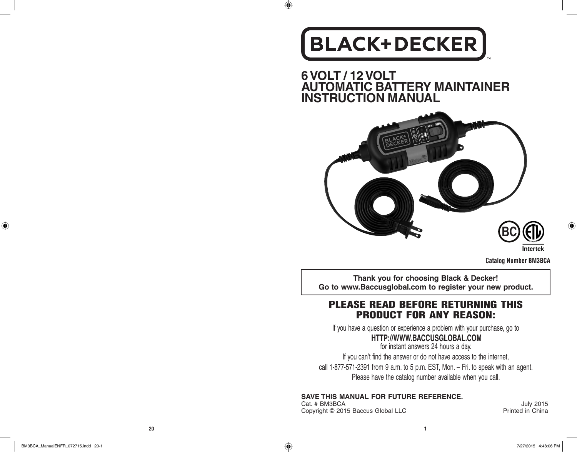## **BLACK+DECKER**

 $\bigoplus$ 

**6 VOLT / 12 VOLT AUTOMATIC BATTERY MAINTAINER INSTRUCTION MANUAL**



Intertek

**Catalog Number BM3BCA**

**Thank you for choosing Black & Decker! Go to www.Baccusglobal.com to register your new product.**

#### PLEASE READ BEFORE RETURNING THIS PRODUCT FOR ANY REASON:

If you have a question or experience a problem with your purchase, go to

#### **HTTP://WWW.BACCUSGLOBAL.COM**

for instant answers 24 hours a day. If you can't find the answer or do not have access to the internet, call 1-877-571-2391 from 9 a.m. to 5 p.m. EST, Mon. – Fri. to speak with an agent. Please have the catalog number available when you call.

#### **SAVE THIS MANUAL FOR FUTURE REFERENCE.**

Cat. # BM3BCA July 2015<br>Copyright © 2015 Baccus Global LLC **Contract Contract Contract Contract Contract Contract Contract Contract Contr** Copyright © 2015 Baccus Global LLC

 $\bigoplus$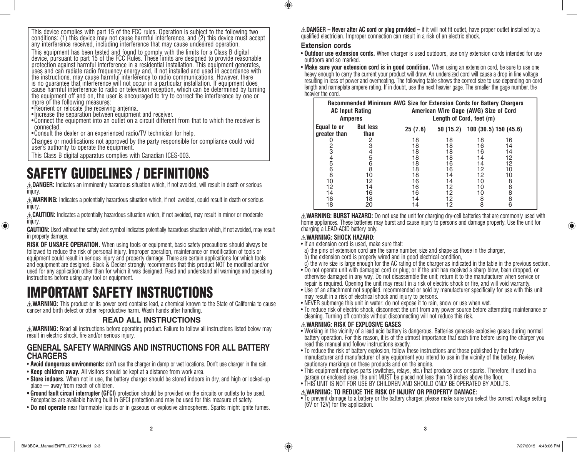This device complies with part 15 of the FCC rules. Operation is subject to the following two conditions: (1) this device may not cause harmful interference, and (2) this device must accept any interference received, including interference that may cause undesired operation.

This equipment has been tested and found to comply with the limits for a Class B digital device, pursuant to part 15 of the FCC Rules. These limits are designed to provide reasonable protection against harmful interference in a residential installation. This equipment generates, uses and can radiate radio frequency energy and, if not installed and used in accordance with the instructions, may cause harmful interference to radio communications. However, there is no guarantee that interference will not occur in a particular installation. If equipment does cause harmful interference to radio or television reception, which can be determined by turning the equipment off and on, the user is encouraged to try to correct the interference by one or more of the following measures:

- •Reorient or relocate the receiving antenna.
- •Increase the separation between equipment and receiver.
- •Connect the equipment into an outlet on a circuit different from that to which the receiver is connected.
- •Consult the dealer or an experienced radio/TV technician for help.

Changes or modifications not approved by the party responsible for compliance could void user's authority to operate the equipment.

This Class B digital apparatus complies with Canadian ICES-003.

## SAFETY GUIDELINES / DEFINITIONS

**DANGER:** Indicates an imminently hazardous situation which, if not avoided, will result in death or serious injury.

**WARNING:** Indicates a potentially hazardous situation which, if not avoided, could result in death or serious injury.

**CAUTION:** Indicates a potentially hazardous situation which, if not avoided, may result in minor or moderate injury.

**CAUTION:** Used without the safety alert symbol indicates potentially hazardous situation which, if not avoided, may result in property damage.

**RISK OF UNSAFE OPERATION.** When using tools or equipment, basic safety precautions should always be followed to reduce the risk of personal injury. Improper operation, maintenance or modification of tools or equipment could result in serious injury and property damage. There are certain applications for which tools and equipment are designed. Black & Decker strongly recommends that this product NOT be modified and/or used for any application other than for which it was designed. Read and understand all warnings and operating instructions before using any tool or equipment.

## IMPORTANT SAFETY INSTRUCTIONS

**WARNING:** This product or its power cord contains lead, a chemical known to the State of California to cause cancer and birth defect or other reproductive harm. Wash hands after handling.

#### **READ ALL INSTRUCTIONS**

**WARNING:** Read all instructions before operating product. Failure to follow all instructions listed below may result in electric shock, fire and/or serious injury.

#### **GENERAL SAFETY WARNINGS AND INSTRUCTIONS FOR ALL BATTERY CHARGERS**

- **Avoid dangerous environments:** don't use the charger in damp or wet locations. Don't use charger in the rain.
- **Keep children away.** All visitors should be kept at a distance from work area.
- **Store indoors.** When not in use, the battery charger should be stored indoors in dry, and high or locked-up place — away from reach of children.
- **• Ground fault circuit interrupter (GFCI)** protection should be provided on the circuits or outlets to be used. Receptacles are available having built in GFCI protection and may be used for this measure of safety.
- **Do not operate** near flammable liquids or in gaseous or explosive atmospheres. Sparks might ignite fumes.

**DANGER – Never alter AC cord or plug provided –** if it will not fit outlet, have proper outlet installed by a qualified electrician. Improper connection can result in a risk of an electric shock.

#### **Extension cords**

 $\bigcirc$ 

• **Outdoor use extension cords.** When charger is used outdoors, use only extension cords intended for use outdoors and so marked.

• **Make sure your extension cord is in good condition.** When using an extension cord, be sure to use one heavy enough to carry the current your product will draw. An undersized cord will cause a drop in line voltage resulting in loss of power and overheating. The following table shows the correct size to use depending on cord length and nameplate ampere rating. If in doubt, use the next heavier gage. The smaller the gage number, the heavier the cord.

| <b>AC Input Rating</b><br><b>Amperes</b> |                         | Recommended Minimum AWG Size for Extension Cords for Battery Chargers<br>American Wire Gage (AWG) Size of Cord<br>Length of Cord, feet (m) |          |    |                       |
|------------------------------------------|-------------------------|--------------------------------------------------------------------------------------------------------------------------------------------|----------|----|-----------------------|
| Equal to or<br>greater than              | <b>But less</b><br>than | 25(7.6)                                                                                                                                    | 50(15.2) |    | 100 (30.5) 150 (45.6) |
|                                          | 2                       | 18                                                                                                                                         | 18       | 18 | 16                    |
|                                          |                         | 18                                                                                                                                         | 18       | 16 | 14                    |
| 2<br>3                                   | 4                       | 18                                                                                                                                         | 18       | 16 | 14                    |
|                                          | 5                       | 18                                                                                                                                         | 18       | 14 | 12                    |
|                                          |                         | 18                                                                                                                                         | 16       | 14 | 12                    |
|                                          | 6<br>8                  | 18                                                                                                                                         | 16       | 12 | 10                    |
| 4568                                     | 10                      | 18                                                                                                                                         | 14       | 12 | 10                    |
| 10                                       | 12                      | 16                                                                                                                                         | 14       | 10 |                       |
| 12                                       | 14                      | 16                                                                                                                                         | 12       | 10 | 8888                  |
| 14                                       | 16                      | 16                                                                                                                                         | 12       | 10 |                       |
| 16                                       | 18                      | 14                                                                                                                                         | 12       | 8  |                       |
| 18                                       | 20                      | 14                                                                                                                                         | 12       | 8  | 6                     |

**WARNING: BURST HAZARD:** Do not use the unit for charging dry-cell batteries that are commonly used with home appliances. These batteries may burst and cause injury to persons and damage property. Use the unit for charging a LEAD-ACID battery only.

#### **WARNING: SHOCK HAZARD:**

- If an extension cord is used, make sure that:
- a) the pins of extension cord are the same number, size and shape as those in the charger,
- b) the extension cord is properly wired and in good electrical condition,
- c) the wire size is large enough for the AC rating of the charger as indicated in the table in the previous section.
- Do not operate unit with damaged cord or plug; or if the unit has received a sharp blow, been dropped, or otherwise damaged in any way. Do not disassemble the unit; return it to the manufacturer when service or repair is required. Opening the unit may result in a risk of electric shock or fire, and will void warranty.
- Use of an attachment not supplied, recommended or sold by manufacturer specifically for use with this unit may result in a risk of electrical shock and injury to persons.
- NEVER submerge this unit in water; do not expose it to rain, snow or use when wet.
- To reduce risk of electric shock, disconnect the unit from any power source before attempting maintenance or cleaning. Turning off controls without disconnecting will not reduce this risk.

#### **WARNING: RISK OF EXPLOSIVE GASES**

- Working in the vicinity of a lead acid battery is dangerous. Batteries generate explosive gases during normal battery operation. For this reason, it is of the utmost importance that each time before using the charger you read this manual and follow instructions exactly.
- To reduce the risk of battery explosion, follow these instructions and those published by the battery manufacturer and manufacturer of any equipment you intend to use in the vicinity of the battery. Review cautionary markings on these products and on the engine.
- This equipment employs parts (switches, relays, etc.) that produce arcs or sparks. Therefore, if used in a garage or enclosed area, the unit MUST be placed not less than 18 inches above the floor.
- THIS UNIT IS NOT FOR USE BY CHILDREN AND SHOULD ONLY BE OPERATED BY ADULTS.

#### **WARNING: TO REDUCE THE RISK OF INJURY OR PROPERTY DAMAGE:**

• To prevent damage to a battery or the battery charger, please make sure you select the correct voltage setting (6V or 12V) for the application.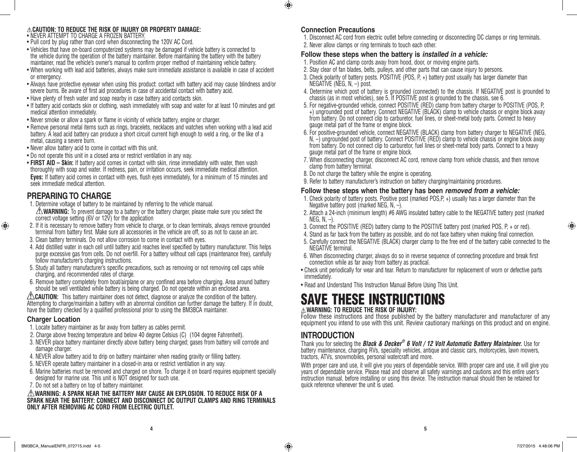#### **CAUTION: TO REDUCE THE RISK OF INJURY OR PROPERTY DAMAGE:**

- NEVER ATTEMPT TO CHARGE A FROZEN BATTERY.
- Pull cord by plug rather than cord when disconnecting the 120V AC Cord.
- Vehicles that have on-board computerized systems may be damaged if vehicle battery is connected to the vehicle during the operation of the battery maintainer. Before maintaining the battery with the battery maintainer, read the vehicle's owner's manual to confirm proper method of maintaining vehicle battery.
- When working with lead acid batteries, always make sure immediate assistance is available in case of accident or emergency.
- Always have protective eyewear when using this product: contact with battery acid may cause blindness and/or severe burns. Be aware of first aid procedures in case of accidental contact with battery acid.
- Have plenty of fresh water and soap nearby in case battery acid contacts skin.
- If battery acid contacts skin or clothing, wash immediately with soap and water for at least 10 minutes and get medical attention immediately.
- Never smoke or allow a spark or flame in vicinity of vehicle battery, engine or charger.
- Remove personal metal items such as rings, bracelets, necklaces and watches when working with a lead acid battery. A lead acid battery can produce a short circuit current high enough to weld a ring, or the like of a metal, causing a severe burn.
- Never allow battery acid to come in contact with this unit.
- Do not operate this unit in a closed area or restrict ventilation in any way.
- **FIRST AID Skin:** If battery acid comes in contact with skin, rinse immediately with water, then wash thoroughly with soap and water. If redness, pain, or irritation occurs, seek immediate medical attention. **Eyes:** If battery acid comes in contact with eyes, flush eyes immediately, for a minimum of 15 minutes and seek immediate medical attention.

#### **PREPARING TO CHARGE**

- 1. Determine voltage of battery to be maintained by referring to the vehicle manual. **WARNING:** To prevent damage to a battery or the battery charger, please make sure you select the correct voltage setting (6V or 12V) for the application
- 2. If it is necessary to remove battery from vehicle to charge, or to clean terminals, always remove grounded terminal from battery first. Make sure all accessories in the vehicle are off, so as not to cause an arc.
- 3. Clean battery terminals. Do not allow corrosion to come in contact with eyes.
- 4. Add distilled water in each cell until battery acid reaches level specified by battery manufacturer. This helps purge excessive gas from cells. Do not overfill. For a battery without cell caps (maintenance free), carefully follow manufacturer's charging instructions.
- 5. Study all battery manufacturer's specific precautions, such as removing or not removing cell caps while charging, and recommended rates of charge.
- 6. Remove battery completely from boat/airplane or any confined area before charging. Area around battery should be well ventilated while battery is being charged. Do not operate within an enclosed area.

**CAUTION:** This battery maintainer does not detect, diagnose or analyze the condition of the battery. Attempting to charge/maintain a battery with an abnormal condition can further damage the battery. If in doubt, have the battery checked by a qualified professional prior to using the BM3BCA maintainer.

#### **Charger Location**

♠

- 1. Locate battery maintainer as far away from battery as cables permit.
- 2. Charge above freezing temperature and below 40 degree Celsius (C) (104 degree Fahrenheit).
- 3. NEVER place battery maintainer directly above battery being charged; gases from battery will corrode and damage charger.
- 4. NEVER allow battery acid to drip on battery maintainer when reading gravity or filling battery.
- 5. NEVER operate battery maintainer in a closed-in area or restrict ventilation in any way.
- 6. Marine batteries must be removed and charged on shore. To charge it on board requires equipment specially designed for marine use. This unit is NOT designed for such use.
- 7. Do not set a battery on top of battery maintainer.

#### **WARNING: A SPARK NEAR THE BATTERY MAY CAUSE AN EXPLOSION. TO REDUCE RISK OF A SPARK NEAR THE BATTERY: CONNECT AND DISCONNECT DC OUTPUT CLAMPS AND RING TERMINALS ONLY AFTER REMOVING AC CORD FROM ELECTRIC OUTLET.**

#### **Connection Precautions**

 $\bigcirc$ 

- 1. Disconnect AC cord from electric outlet before connecting or disconnecting DC clamps or ring terminals. 2. Never allow clamps or ring terminals to touch each other.
- 

#### **Follow these steps when the battery is** *installed in a vehicle:*

- 1. Position AC and clamp cords away from hood, door, or moving engine parts.
- 2. Stay clear of fan blades, belts, pulleys, and other parts that can cause injury to persons.
- 3. Check polarity of battery posts. POSITIVE (POS, P, +) battery post usually has larger diameter than NEGATIVE (NEG, N, -) post.
- 4. Determine which post of battery is grounded (connected) to the chassis. If NEGATIVE post is grounded to chassis (as in most vehicles), see 5. If POSITIVE post is grounded to the chassis, see 6.
- +) ungrounded post of battery. Connect NEGATIVE (BLACK) clamp to vehicle chassis or engine block away from battery. Do not connect clip to carburetor, fuel lines, or sheet-metal body parts. Connect to heavy gauge metal part of the frame or engine block.<br>6. For positive-grounded vehicle, connect NEGATIVE (BLACK) clamp from battery charger to NEGATIVE (NEG,
- $N -$ ) ungrounded post of battery. Connect POSITIVE (RED) clamp to vehicle chassis or engine block away from battery. Do not connect clip to carburetor, fuel lines or sheet-metal body parts. Connect to a heavy gauge metal part of the frame or engine block.
- 7. When disconnecting charger, disconnect AC cord, remove clamp from vehicle chassis, and then remove clamp from battery terminal.
- 8. Do not charge the battery while the engine is operating.
- 9. Refer to battery manufacturer's instruction on battery charging/maintaining procedures.

#### **Follow these steps when the battery has been** *removed from a vehicle:*

- 1. Check polarity of battery posts. Positive post (marked POS,P, +) usually has a larger diameter than the Negative battery post (marked NEG, N, –).
- 2. Attach a 24-inch (minimum length) #6 AWG insulated battery cable to the NEGATIVE battery post (marked NEG, N, -).
- 3. Connect the POSITIVE (RED) battery clamp to the POSITIVE battery post (marked POS, P, + or red).
- 4. Stand as far back from the battery as possible, and do not face battery when making final connection.
- 5. Carefully connect the NEGATIVE (BLACK) charger clamp to the free end of the battery cable connected to the<br>NEGATIVE terminal.
- 6. When disconnecting charger, always do so in reverse sequence of connecting procedure and break first connection while as far away from battery as practical.
- Check unit periodically for wear and tear. Return to manufacturer for replacement of worn or defective parts immediately.
- Read and Understand This Instruction Manual Before Using This Unit.

## SAVE THESE INSTRUCTIONS

#### **WARNING: TO REDUCE THE RISK OF INJURY:**

Follow these instructions and those published by the battery manufacturer and manufacturer of any equipment you intend to use with this unit. Review cautionary markings on this product and on engine.

#### **INTRODUCTION**

Thank you for selecting the *Black & Decker ® 6 Volt / 12 Volt Automatic Battery Maintainer.* Use for battery maintenance, charging RVs, speciality vehicles, antique and classic cars, motorcycles, lawn mowers, tractors, ATVs, snowmobiles, personal watercraft and more.

With proper care and use, it will give you years of dependable service. With proper care and use, it will give you years of dependable service. Please read and observe all safety warnings and cautions and this entire user's instruction manual, before installing or using this device. The instruction manual should then be retained for quick reference whenever the unit is used.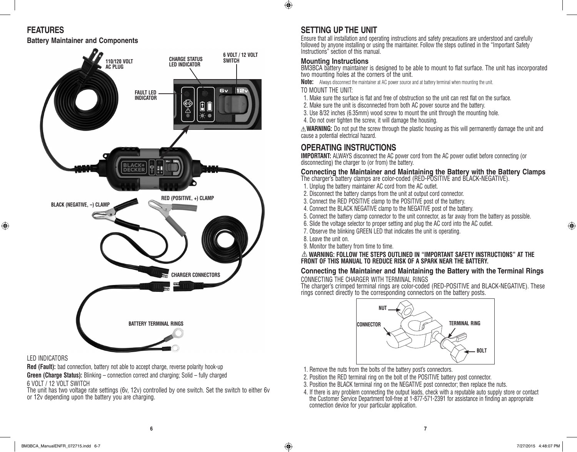$\bigoplus$ 

#### **FEATURES**

**Battery Maintainer and Components**

## **6 VOLT / 12 VOLT CHARGE STATUS SWITCH 110/120 VOLT LED INDICATOR AC PLUG** 6v **FAULT LED INDICATOR BLACK+**<br>DECKER  $\frac{3}{2}$ ÛÔ **RED (POSITIVE, +) CLAMP BLACK (NEGATIVE, -) CLAM CHARGER CONNECTORS BATTERY TERMINAL RINGS**

#### LED INDICATORS

⊕

**Red (Fault):** bad connection, battery not able to accept charge, reverse polarity hook-up **Green (Charge Status):** Blinking – connection correct and charging: Solid – fully charged 6 VOLT / 12 VOLT SWITCH

The unit has two voltage rate settings (6v, 12v) controlled by one switch. Set the switch to either 6v or 12y depending upon the battery you are charging.

#### **SETTING UP THE UNIT**

Ensure that all installation and operating instructions and safety precautions are understood and carefully followed by anyone installing or using the maintainer. Follow the steps outlined in the "Important Safety Instructions" section of this manual.

#### **Mounting Instructions**

BM3BCA battery maintainer is designed to be able to mount to flat surface. The unit has incorporated two mounting holes at the corners of the unit.

**Note:** Always disconnect the maintainer at AC power source and at battery terminal when mounting the unit. TO MOUNT THE UNIT:

- 1. Make sure the surface is flat and free of obstruction so the unit can rest flat on the surface.
- 2. Make sure the unit is disconnected from both AC power source and the battery.
- 3. Use 8/32 inches (6.35mm) wood screw to mount the unit through the mounting hole.
- 4. Do not over tighten the screw, it will damage the housing.

**WARNING:** Do not put the screw through the plastic housing as this will permanently damage the unit and cause a potential electrical hazard.

#### **OPERATING INSTRUCTIONS**

**IMPORTANT:** ALWAYS disconnect the AC power cord from the AC power outlet before connecting (or disconnecting) the charger to (or from) the battery.

#### **Connecting the Maintainer and Maintaining the Battery with the Battery Clamps**

- The charger's battery clamps are color-coded (RED-POSITIVE and BLACK-NEGATIVE).
- 1. Unplug the battery maintainer AC cord from the AC outlet.
- 2. Disconnect the battery clamps from the unit at output cord connector.
- 3. Connect the RED POSITIVE clamp to the POSITIVE post of the battery.
- 4. Connect the BLACK NEGATIVE clamp to the NEGATIVE post of the battery.
- 5. Connect the battery clamp connector to the unit connector, as far away from the battery as possible.
- 6. Slide the voltage selector to proper setting and plug the AC cord into the AC outlet.
- 7. Observe the blinking GREEN LED that indicates the unit is operating.
- 8. Leave the unit on.
- 9. Monitor the battery from time to time.

**WARNING: FOLLOW THE STEPS OUTLINED IN "IMPORTANT SAFETY INSTRUCTIONS" AT THE FRONT OF THIS MANUAL TO REDUCE RISK OF A SPARK NEAR THE BATTERY.**

#### **Connecting the Maintainer and Maintaining the Battery with the Terminal Rings** CONNECTING THE CHARGER WITH TERMINAL RINGS

The charger's crimped terminal rings are color-coded (RED-POSITIVE and BLACK-NEGATIVE). These rings connect directly to the corresponding connectors on the battery posts.



- 1. Remove the nuts from the bolts of the battery post's connectors.
- 2. Position the RED terminal ring on the bolt of the POSITIVE battery post connector.
- 3. Position the BLACK terminal ring on the NEGATIVE post connector; then replace the nuts.
- 4. If there is any problem connecting the output leads, check with a reputable auto supply store or contact the Customer Service Department toll-free at 1-877-571-2391 for assistance in finding an appropriate connection device for your particular application.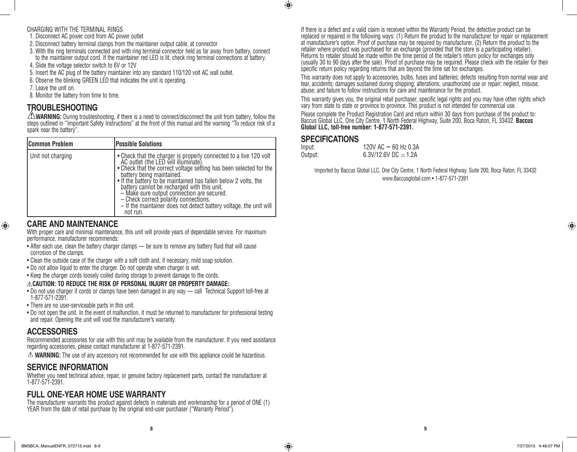#### CHARGING WITH THE TERMINAL RINGS

- 1. Disconnect AC power cord from AC power outlet
- 2. Disconnect battery terminal clamps from the maintainer output cable, at connector
- 3. With the ring terminals connected and with ring terminal connector held as far away from battery, connect to the maintainer output cord. If the maintainer red LED is lit, check ring terminal connections at battery.
- 4. Slide the voltage selector switch to 6V or 12V
- 5. Insert the AC plug of the battery maintainer into any standard 110/120 volt AC wall outlet.
- 6. Observe the blinking GREEN LED that indicates the unit is operating.
- 7. Leave the unit on.
- 8. Monitor the battery from time to time.

#### **TROUBLESHOOTING**

**WARNING:** During troubleshooting, if there is a need to connect/disconnect the unit from battery, follow the steps outlined in "Important Safety Instructions" at the front of this manual and the warning "To reduce risk of a spark near the battery".

| <b>Common Problem</b> | <b>Possible Solutions</b>                                                                                                                                                                                                                                                                                                                                                                                                                                                                            |
|-----------------------|------------------------------------------------------------------------------------------------------------------------------------------------------------------------------------------------------------------------------------------------------------------------------------------------------------------------------------------------------------------------------------------------------------------------------------------------------------------------------------------------------|
| Unit not charging     | • Check that the charger is properly connected to a live 120 volt AC outlet (the LED will illuminate).<br>. Check that the correct voltage setting has been selected for the<br>battery being maintained.<br>• If the battery to be maintained has fallen below 2 volts, the<br>battery cannot be recharged with this unit.<br>- Make sure output connection are secured.<br>- Check correct polarity connections.<br>- If the maintainer does not detect battery voltage, the unit will<br>not run. |

#### If there is a defect and a valid claim is received within the Warranty Period, the defective product can be replaced or repaired in the following ways: (1) Return the product to the manufacturer for repair or replacement at manufacturer's option. Proof of purchase may be required by manufacturer. (2) Return the product to the retailer where product was purchased for an exchange (provided that the store is a participating retailer). Returns to retailer should be made within the time period of the retailer's return policy for exchanges only (usually 30 to 90 days after the sale). Proof of purchase may be required. Please check with the retailer for their specific return policy regarding returns that are beyond the time set for exchanges.

This warranty does not apply to accessories, bulbs, fuses and batteries; defects resulting from normal wear and tear, accidents; damages sustained during shipping; alterations; unauthorized use or repair; neglect, misuse, abuse; and failure to follow instructions for care and maintenance for the product.

This warranty gives you, the original retail purchaser, specific legal rights and you may have other rights which vary from state to state or province to province. This product is not intended for commercial use.

Please complete the Product Registration Card and return within 30 days from purchase of the product to: Baccus Global LLC, One City Centre, 1 North Federal Highway, Suite 200, Boca Raton, FL 33432. **Baccus Global LLC, toll-free number: 1-877-571-2391.** 

#### **SPECIFICATIONS**

 $\bigoplus$ 

| Input:  | 120V AC $\sim$ 60 Hz 0.3A |
|---------|---------------------------|
| Output: | 6.3V/12.6V DC $-.1.2A$    |

Imported by Baccus Global LLC, One City Centre, 1 North Federal Highway, Suite 200, Boca Raton, FL 33432 www.Baccusglobal.com • 1-877-571-2391

#### **CARE AND MAINTENANCE**

⊕

With proper care and minimal maintenance, this unit will provide years of dependable service. For maximum performance, manufacturer recommends:

- After each use, clean the battery charger clamps be sure to remove any battery fluid that will cause corrosion of the clamps.
- Clean the outside case of the charger with a soft cloth and, if necessary, mild soap solution.
- Do not allow liquid to enter the charger. Do not operate when charger is wet.
- Keep the charger cords loosely coiled during storage to prevent damage to the cords.

#### **CAUTION: TO REDUCE THE RISK OF PERSONAL INJURY OR PROPERTY DAMAGE:**

- Do not use charger if cords or clamps have been damaged in any way call Technical Support toll-free at 1-877-571-2391.
- There are no user-serviceable parts in this unit.
- Do not open the unit. In the event of malfunction, it must be returned to manufacturer for professional testing and repair. Opening the unit will void the manufacturer's warranty.

#### **ACCESSORIES**

Recommended accessories for use with this unit may be available from the manufacturer. If you need assistance regarding accessories, please contact manufacturer at 1-877-571-2391.

**WARNING:** The use of any accessory not recommended for use with this appliance could be hazardous.

#### **SERVICE INFORMATION**

Whether you need technical advice, repair, or genuine factory replacement parts, contact the manufacturer at 1-877-571-2391.

#### **FULL ONE-YEAR HOME USE WARRANTY**

The manufacturer warrants this product against defects in materials and workmanship for a period of ONE (1) YEAR from the date of retail purchase by the original end-user purchaser ("Warranty Period").

**8 9**

♠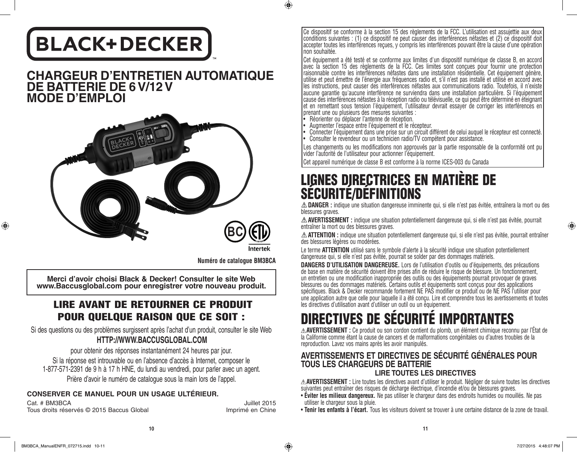## **BLACK+DECKER**

#### **CHARGEUR D'ENTRETIEN AUTOMATIQUE DE BATTERIE DE 6 V/12 V MODE D'EMPLOI**



Intertek

 $\bigcirc$ 

**Numéro de catalogue BM3BCA**

**Merci d'avoir choisi Black & Decker! Consulter le site Web www.Baccusglobal.com pour enregistrer votre nouveau produit.**

#### LIRE AVANT DE RETOURNER CE PRODUIT POUR QUELQUE RAISON QUE CE SOIT :

Si des questions ou des problèmes surgissent après l'achat d'un produit, consulter le site Web **HTTP://WWW.BACCUSGLOBAL.COM**

pour obtenir des réponses instantanément 24 heures par jour. Si la réponse est introuvable ou en l'absence d'accès à Internet, composer le 1-877-571-2391 de 9 h à 17 h HNE, du lundi au vendredi, pour parler avec un agent. Prière d'avoir le numéro de catalogue sous la main lors de l'appel.

#### **CONSERVER CE MANUEL POUR UN USAGE ULTÉRIEUR.**

Uuillet 2015<br>Tous droits réservés © 2015 Baccus Global<br>Imprimé en Chine Tous droits réservés © 2015 Baccus Global

Ce dispositif se conforme à la section 15 des règlements de la FCC. L'utilisation est assujettie aux deux conditions suivantes : (1) ce dispositif ne peut causer des interférences néfastes et (2) ce dispositif doit accepter toutes les interférences reçues, y compris les interférences pouvant être la cause d'une opération non souhaitée.

Cet équipement a été testé et se conforme aux limites d'un dispositif numérique de classe B, en accord avec la section 15 des règlements de la FCC. Ces limites sont conçues pour fournir une protection raisonnable contre les interférences néfastes dans une installation résidentielle. Cet équipement génère, utilise et peut émettre de l'énergie aux fréquences radio et, s'il n'est pas installé et utilisé en accord avec les instructions, peut causer des interférences néfastes aux communications radio. Toutefois, il n'existe aucune garantie qu'aucune interférence ne surviendra dans une installation particulière. Si l'équipement cause des interférences néfastes à la réception radio ou télévisuelle, ce qui peut être déterminé en éteignant et en remettant sous tension l'équipement, l'utilisateur devrait essayer de corriger les interférences en prenant une ou plusieurs des mesures suivantes :

- Réorienter ou déplacer l'antenne de réception.
- Augmenter l'espace entre l'équipement et le récepteur.
- Connecter l'équipement dans une prise sur un circuit différent de celui auquel le récepteur est connecté. • Consulter le revendeur ou un technicien radio/TV compétent pour assistance.

Les changements ou les modifications non approuvés par la partie responsable de la conformité ont pu vider l'autorité de l'utilisateur pour actionner l'équipement.

Cet appareil numérique de classe B est conforme à la norme ICES-003 du Canada

# LIGNES DIRECTRICES EN MATIÈRE DE SÉCURITÉ/DÉFINITIONS

**DANGER :** indique une situation dangereuse imminente qui, si elle n'est pas évitée, entraînera la mort ou des blessures graves.

**AVERTISSEMENT :** indique une situation potentiellement dangereuse qui, si elle n'est pas évitée, pourrait entraîner la mort ou des blessures graves.

**ATTENTION :** indique une situation potentiellement dangereuse qui, si elle n'est pas évitée, pourrait entraîner des blessures légères ou modérées.

Le terme **ATTENTION** utilisé sans le symbole d'alerte à la sécurité indique une situation potentiellement dangereuse qui, si elle n'est pas évitée, pourrait se solder par des dommages matériels.

**DANGERS D'UTILISATION DANGEREUSE.** Lors de l'utilisation d'outils ou d'équipements, des précautions de base en matière de sécurité doivent être prises afin de réduire le risque de blessure. Un fonctionnement, un entretien ou une modification inappropriée des outils ou des équipements pourrait provoquer de graves blessures ou des dommages matériels. Certains outils et équipements sont conçus pour des applications spécifiques. Black & Decker recommande fortement NE PAS modifier ce produit ou de NE PAS l'utiliser pour une application autre que celle pour laquelle il a été conçu. Lire et comprendre tous les avertissements et toutes les directives d'utilisation avant d'utiliser un outil ou un équipement.

## IVES DE SECURITE IMPORTAN

**AVERTISSEMENT :** Ce produit ou son cordon contient du plomb, un élément chimique reconnu par l'État de la Californie comme étant la cause de cancers et de malformations congénitales ou d'autres troubles de la reproduction. Lavez vos mains après les avoir manipulés.

#### **AVERTISSEMENTS ET DIRECTIVES DE SÉCURITÉ GÉNÉRALES POUR TOUS LES CHARGEURS DE BATTERIE LIRE TOUTES LES DIRECTIVES**

**AVERTISSEMENT :** Lire toutes les directives avant d'utiliser le produit. Négliger de suivre toutes les directives suivantes peut entraîner des risques de décharge électrique, d'incendie et/ou de blessures graves.

- **Éviter les milieux dangereux.** Ne pas utiliser le chargeur dans des endroits humides ou mouillés. Ne pas utiliser le chargeur sous la pluie.
- **Tenir les enfants à l'écart.** Tous les visiteurs doivent se trouver à une certaine distance de la zone de travail.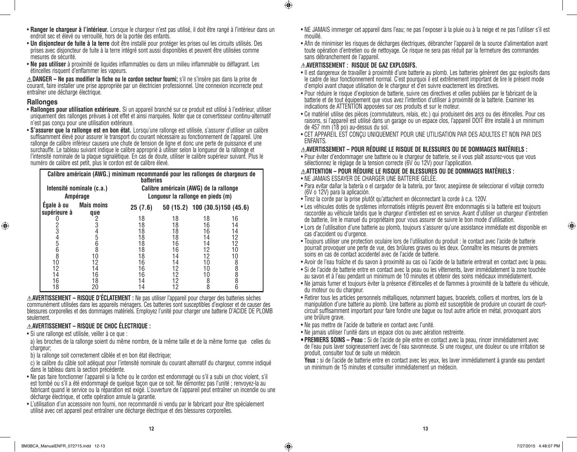⊕

- **Ranger le chargeur à l'intérieur.** Lorsque le chargeur n'est pas utilisé, il doit être rangé à l'intérieur dans un endroit sec et élevé ou verrouillé, hors de la portée des enfants.
- **Un disjoncteur de fuite à la terre** doit être installé pour protéger les prises oul les circuits utilisés. Des prises avec disjoncteur de fuite à la terre intégré sont aussi disponibles et peuvent être utilisées comme mesures de sécurité.
- **Ne pas utiliser** à proximité de liquides inflammables ou dans un milieu inflammable ou déflagrant. Les étincelles risquent d'enflammer les vapeurs.

**DANGER – Ne pas modifier la fiche ou le cordon secteur fourni;** s'il ne s'insère pas dans la prise de courant, faire installer une prise appropriée par un électricien professionnel. Une connexion incorrecte peut entraîner une décharge électrique.

#### **Rallonges**

- **Rallonges pour utilisation extérieure.** Si un appareil branché sur ce produit est utilisé à l'extérieur, utiliser uniquement des rallonges prévues à cet effet et ainsi marquées. Noter que ce convertisseur continu-alternatif n'est pas conçu pour une utilisation extérieure.
- **S'assurer que la rallonge est en bon état.** Lorsqu'une rallonge est utilisée, s'assurer d'utiliser un calibre suffisamment élevé pour assurer le transport du courant nécessaire au fonctionnement de l'appareil. Une rallonge de calibre inférieur causera une chute de tension de ligne et donc une perte de puissance et une surchauffe. Le tableau suivant indique le calibre approprié à utiliser selon la longueur de la rallonge et l'intensité nominale de la plaque signalétique. En cas de doute, utiliser le calibre supérieur suivant. Plus le numéro de calibre est petit, plus le cordon est de calibre élevé.

|                            | Calibre américain (AWG.) minimum recommandé pour les rallonges de chargeurs de | <b>batteries</b>                       |          |                                |          |
|----------------------------|--------------------------------------------------------------------------------|----------------------------------------|----------|--------------------------------|----------|
| Intensité nominale (c.a.)  |                                                                                | Calibre américain (AWG) de la rallonge |          |                                |          |
| Ampérage                   |                                                                                | Longueur la rallonge en pieds (m)      |          |                                |          |
| Egale à ou<br>supérieure à | <b>Mais moins</b><br>que                                                       | 25(7.6)                                |          | 50 (15.2) 100 (30.5)150 (45.6) |          |
|                            |                                                                                | 18<br>18                               | 18<br>18 | 18<br>16                       | 16       |
| 3                          | 4                                                                              | 18                                     | 18       | 16                             | 14<br>14 |
| 4                          | 5                                                                              | 18                                     | 18       | 14                             | 12       |
| 5                          | 6                                                                              | 18                                     | 16       | 14                             | 12       |
| 6<br>8                     | 8                                                                              | 18                                     | 16       | 12                             | 10       |
| 10                         | 10                                                                             | 18                                     | 14       | 12                             | 10       |
|                            | 12                                                                             | 16                                     | 14       | 10                             | 8        |
| 12                         | 14                                                                             | 16                                     | 12       | 10                             | 8        |
| 14                         | 16                                                                             | 16                                     | 12       | 10                             | 8        |
| 16                         | 18                                                                             | 14                                     | 12       | 8                              | 8        |
| 18                         | 20                                                                             | 14                                     | 12       | 8                              | 6        |

**AVERTISSEMENT – RISQUE D'ÉCLATEMENT :** Ne pas utiliser l'appareil pour charger des batteries sèches communément utilisées dans les appareils ménagers. Ces batteries sont susceptibles d'exploser et de causer des blessures corporelles et des dommages matériels. Employez l'unité pour charger une batterie D'ACIDE DE PLOMB seulement.

#### **AVERTISSEMENT – RISQUE DE CHOC ÉLECTRIQUE :**

• Si une rallonge est utilisée, veiller à ce que :

a) les broches de la rallonge soient du même nombre, de la même taille et de la même forme que celles du chargeur:

- b) la rallonge soit correctement câblée et en bon état électrique;
- c) le calibre du câble soit adéquat pour l'intensité nominale du courant alternatif du chargeur, comme indiqué dans le tableau dans la section précédente.
- Ne pas faire fonctionner l'appareil si la fiche ou le cordon est endommagé ou s'il a subi un choc violent, s'il est tombé ou s'il a été endommagé de quelque façon que ce soit. Ne démontez pas l'unité ; renvoyez-la au fabricant quand le service ou la réparation est exigé. L'ouverture de l'appareil peut entraîner un incendie ou une décharge électrique, et cette opération annule la garantie.
- L'utilisation d'un accessoire non fourni, non recommandé ni vendu par le fabricant pour être spécialement utilisé avec cet appareil peut entraîner une décharge électrique et des blessures corporelles.
- NE JAMAIS immerger cet appareil dans l'eau; ne pas l'exposer à la pluie ou à la neige et ne pas l'utiliser s'il est mouillé.
- Afin de minimiser les risques de décharges électriques, débrancher l'appareil de la source d'alimentation avant toute opération d'entretien ou de nettoyage. Ce risque ne sera pas réduit par la fermeture des commandes sans débranchement de l'appareil.

#### **AVERTISSEMENT : RISQUE DE GAZ EXPLOSIFS.**

 $\bigoplus$ 

- Il est dangereux de travailler à proximité d'une batterie au plomb. Les batteries génèrent des gaz explosifs dans le cadre de leur fonctionnement normal. C'est pourquoi il est extrêmement important de lire le présent mode d'emploi avant chaque utilisation de le chargeur et d'en suivre exactement les directives.
- Pour réduire le risque d'explosion de batterie, suivre ces directives et celles publiées par le fabricant de la batterie et de tout équipement que vous avez l'intention d'utiliser à proximité de la batterie. Examiner les indications de ATTENTION apposées sur ces produits et sur le moteur.
- Ce matériel utilise des pièces (commutateurs, relais, etc.) qui produisent des arcs ou des étincelles. Pour ces raisons, si l'appareil est utilisé dans un garage ou un espace clos, l'appareil DOIT être installé à un minimum de 457 mm (18 po) au-dessus du sol.
- CET APPAREIL EST CONÇU UNIQUEMENT POUR UNE UTILISATION PAR DES ADULTES ET NON PAR DES ENFANTS.

#### **AVERTISSEMENT – POUR RÉDUIRE LE RISQUE DE BLESSURES OU DE DOMMAGES MATÉRIELS :**

• Pour éviter d'endommager une batterie ou le chargeur de batterie, se il vous plaît assurez-vous que vous sélectionnez le réglage de la tension correcte (6V ou 12V) pour l'application.

#### **ATTENTION – POUR RÉDUIRE LE RISQUE DE BLESSURES OU DE DOMMAGES MATÉRIELS :**

- NE JAMAIS ESSAYER DE CHARGER UNE BATTERIE GELÉE.
- Para evitar dañar la batería o el cargador de la batería, por favor, asegúrese de seleccionar el voltaje correcto (6V o 12V) para la aplicación.
- Tirez la corde par la prise plutôt qu'attachent en déconnectant la corde à c.a. 120V.
- Les véhicules dotés de systèmes informatisés intégrés peuvent être endommagés si la batterie est toujours raccordée au véhicule tandis que le chargeur d'entretien est en service. Avant d'utiliser un chargeur d'entretien de batterie, lire le manuel du propriétaire pour vous assurer de suivre le bon mode d'utilisation.
- Lors de l'utilisation d'une batterie au plomb, toujours s'assurer qu'une assistance immédiate est disponible en cas d'accident ou d'urgence.
- Toujours utiliser une protection oculaire lors de l'utilisation du produit : le contact avec l'acide de batterie pourrait provoquer une perte de vue, des brûlures graves ou les deux. Connaître les mesures de premiers soins en cas de contact accidentel avec de l'acide de batterie.
- Avoir de l'eau fraîche et du savon à proximité au cas où l'acide de la batterie entrerait en contact avec la peau.
- Si de l'acide de batterie entre en contact avec la peau ou les vêtements, laver immédiatement la zone touchée au savon et à l'eau pendant un minimum de 10 minutes et obtenir des soins médicaux immédiatement.
- Ne jamais fumer et toujours éviter la présence d'étincelles et de flammes à proximité de la batterie du véhicule, du moteur ou du chargeur.
- Retirer tous les articles personnels métalliques, notamment bagues, bracelets, colliers et montres, lors de la manipulation d'une batterie au plomb. Une batterie au plomb est susceptible de produire un courant de courtcircuit suffisamment important pour faire fondre une bague ou tout autre article en métal, provoquant alors une brûlure grave.
- Ne pas mettre de l'acide de batterie en contact avec l'unité.
- Ne jamais utiliser l'unité dans un espace clos ou avec aération restreinte.
- **• PREMIERS SOINS Peau :** Si de l'acide de pile entre en contact avec la peau, rincer immédiatement avec de l'eau puis laver soigneusement avec de l'eau savonneuse. Si une rougeur, une douleur ou une irritation se produit, consulter tout de suite un médecin.

**Yeux :** si de l'acide de batterie entre en contact avec les yeux, les laver immédiatement à grande eau pendant un minimum de 15 minutes et consulter immédiatement un médecin.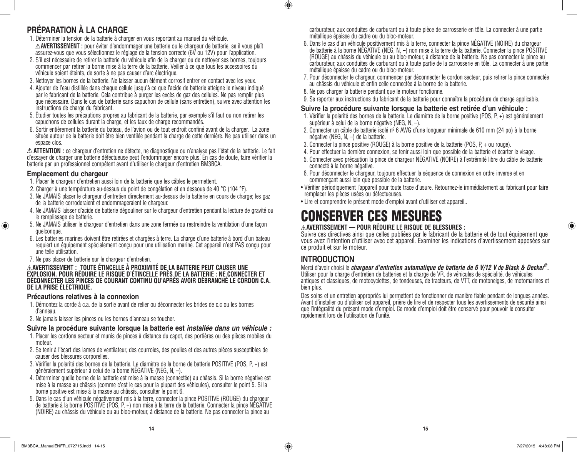#### **PRÉPARATION À LA CHARGE**

- 1. Déterminer la tension de la batterie à charger en vous reportant au manuel du véhicule. **AVERTISSEMENT :** pour éviter d'endommager une batterie ou le chargeur de batterie, se il vous plaît assurez-vous que vous sélectionnez le réglage de la tension correcte (6V ou 12V) pour l'application.
- 2. S'il est nécessaire de retirer la batterie du véhicule afin de la charger ou de nettoyer ses bornes, toujours commencer par retirer la borne mise à la terre de la batterie. Veiller à ce que tous les accessoires du véhicule soient éteints, de sorte à ne pas causer d'arc électrique.
- 3. Nettoyer les bornes de la batterie. Ne laisser aucun élément corrosif entrer en contact avec les yeux.
- 4. Ajouter de l'eau distillée dans chaque cellule jusqu'à ce que l'acide de batterie atteigne le niveau indiqué par le fabricant de la batterie. Cela contribue à purger les excès de gaz des cellules. Ne pas remplir plus que nécessaire. Dans le cas de batterie sans capuchon de cellule (sans entretien), suivre avec attention les instructions de charge du fabricant.
- 5. Étudier toutes les précautions propres au fabricant de la batterie, par exemple s'il faut ou non retirer les capuchons de cellules durant la charge, et les taux de charge recommandés.
- 6. Sortir entièrement la batterie du bateau, de l'avion ou de tout endroit confiné avant de la charger. La zone située autour de la batterie doit être bien ventilée pendant la charge de cette dernière. Ne pas utiliser dans un espace clos.

**ATTENTION :** ce chargeur d'entretien ne détecte, ne diagnostique ou n'analyse pas l'état de la batterie. Le fait d'essayer de charger une batterie défectueuse peut l'endommager encore plus. En cas de doute, faire vérifier la batterie par un professionnel compétent avant d'utiliser le chargeur d'entretien BM3BCA.

#### **Emplacement du chargeur**

♠

- 1. Placer le chargeur d'entretien aussi loin de la batterie que les câbles le permettent.
- 2. Charger à une température au-dessus du point de congélation et en dessous de 40 °C (104 °F).
- 3. Ne JAMAIS placer le chargeur d'entretien directement au-dessus de la batterie en cours de charge; les gaz de la batterie corroderaient et endommageraient le chargeur.
- 4. Ne JAMAIS laisser d'acide de batterie dégouliner sur le chargeur d'entretien pendant la lecture de gravité ou le remplissage de batterie.
- 5. Ne JAMAIS utiliser le chargeur d'entretien dans une zone fermée ou restreindre la ventilation d'une façon quelconque.
- 6. Les batteries marines doivent être retirées et chargées à terre. La charge d'une batterie à bord d'un bateau requiert un équipement spécialement conçu pour une utilisation marine. Cet appareil n'est PAS conçu pour une telle utilisation.
- 7. Ne pas placer de batterie sur le chargeur d'entretien.

#### **AVERTISSEMENT : TOUTE ÉTINCELLE À PROXIMITÉ DE LA BATTERIE PEUT CAUSER UNE EXPLOSION. POUR RÉDUIRE LE RISQUE D'ÉTINCELLE PRÈS DE LA BATTERIE : NE CONNECTER ET DÉCONNECTER LES PINCES DE COURANT CONTINU QU'APRÈS AVOIR DÉBRANCHÉ LE CORDON C.A. DE LA PRISE ÉLECTRIQUE.**

#### **Précautions relatives à la connexion**

- 1. Démontez la corde à c.a. de la sortie avant de relier ou déconnecter les brides de c.c ou les bornes d'anneau.
- 2. Ne jamais laisser les pinces ou les bornes d'anneau se toucher.

#### **Suivre la procédure suivante lorsque la batterie est** *installée dans un véhicule :*

- 1. Placer les cordons secteur et munis de pinces à distance du capot, des portières ou des pièces mobiles du moteur.
- 2. Se tenir à l'écart des lames de ventilateur, des courroies, des poulies et des autres pièces susceptibles de causer des blessures corporelles.
- 3. Vérifier la polarité des bornes de la batterie. Le diamètre de la borne de batterie POSITIVE (POS, P, +) est généralement supérieur à celui de la borne NÉGATIVE (NEG, N, –).
- 4. Déterminer quelle borne de la batterie est mise à la masse (connectée) au châssis. Si la borne négative est mise à la masse au châssis (comme c'est le cas pour la plupart des véhicules), consulter le point 5. Si la borne positive est mise à la masse au châssis, consulter le point 6.<br>5. Dans le cas d'un véhicule négativement mis à la terre, connecter la pince POSITIVE (ROUGE) du chargeur
- de batterie à la borne POSITIVE (POS, P, +) non mise à la terre de la batterie. Connecter la pince NÉGATIVE (NOIRE) au châssis du véhicule ou au bloc-moteur, à distance de la batterie. Ne pas connecter la pince au

carburateur, aux conduites de carburant ou à toute pièce de carrosserie en tôle. La connecter à une partie métallique épaisse du cadre ou du bloc-moteur.

- 6. Dans le cas d'un véhicule positivement mis à la terre, connecter la pince NÉGATIVE (NOIRE) du chargeur de batterie à la borne NÉGATIVE (NEG, N, –) non mise à la terre de la batterie. Connecter la pince POSITIVE (ROUGE) au châssis du véhicule ou au bloc-moteur, à distance de la batterie. Ne pas connecter la pince au carburateur, aux conduites de carburant ou à toute partie de la carrosserie en tôle. La connecter à une partie métallique épaisse du cadre ou du bloc-moteur.
- 7. Pour déconnecter le chargeur, commencer par déconnecter le cordon secteur, puis retirer la pince connectée au châssis du véhicule et enfin celle connectée à la borne de la batterie.
- 8. Ne pas charger la batterie pendant que le moteur fonctionne.
- 9. Se reporter aux instructions du fabricant de la batterie pour connaître la procédure de charge applicable.

#### **Suivre la procédure suivante lorsque la batterie est retirée d'un véhicule :**

- 1. Vérifier la polarité des bornes de la batterie. Le diamètre de la borne positive (POS, P, +) est généralement<br>supérieur à celui de la borne négative (NEG, N, –).
- 2. Connecter un câble de batterie isolé nº 6 AWG d'une longueur minimale de 610 mm (24 po) à la borne négative (NEG, N, -) de la batterie.
- 3. Connecter la pince positive (ROUGE) à la borne positive de la batterie (POS, P, + ou rouge).
- 4. Pour effectuer la dernière connexion, se tenir aussi loin que possible de la batterie et écarter le visage.
- 5. Connecter avec précaution la pince de chargeur NÉGATIVE (NOIRE) à l'extrémité libre du câble de batterie connecté à la borne négative.
- 6. Pour déconnecter le chargeur, toujours effectuer la séquence de connexion en ordre inverse et en commençant aussi loin que possible de la batterie.
- Vérifier périodiquement l'appareil pour toute trace d'usure. Retournez-le immédiatement au fabricant pour faire remplacer les pièces usées ou défectueuses.
- Lire et comprendre le présent mode d'emploi avant d'utiliser cet appareil..

## CONSERVER CES MESURES

#### **AVERTISSEMENT — POUR RÉDUIRE LE RISQUE DE BLESSURES :**

Suivre ces directives ainsi que celles publiées par le fabricant de la batterie et de tout équipement que vous avez l'intention d'utiliser avec cet appareil. Examiner les indications d'avertissement apposées sur ce produit et sur le moteur.

#### **INTRODUCTION**

 $\bigoplus$ 

Merci d'avoir choisi le *chargeur d'entretien automatique de batterie de 6 V/12 V de Black & Decker®.* Utiliser pour la charge d'entretien de batteries et la charge de VR, de véhicules de spécialité, de véhicules antiques et classiques, de motocyclettes, de tondeuses, de tracteurs, de VTT, de motoneiges, de motomarines et bien plus.

Des soins et un entretien appropriés lui permettent de fonctionner de manière fiable pendant de longues années. Avant d'installer ou d'utiliser cet appareil, prière de lire et de respecter tous les avertissements de sécurité ainsi que l'intégralité du présent mode d'emploi. Ce mode d'emploi doit être conservé pour pouvoir le consulter rapidement lors de l'utilisation de l'unité.

♠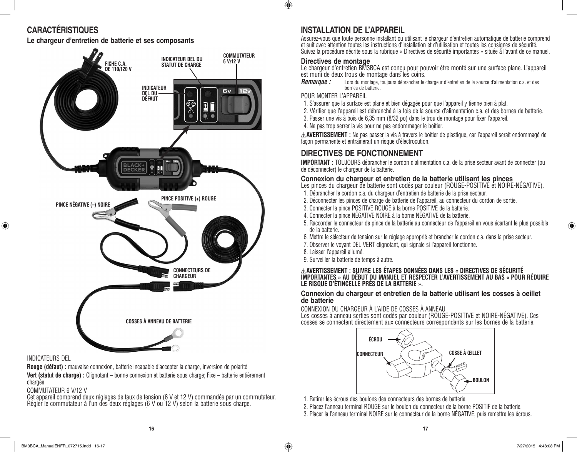### **CARACTÉRISTIQUES**

**Le chargeur d'entretien de batterie et ses composants**



#### INDICATEURS DEL

⊕

**Rouge (défaut) :** mauvaise connexion, batterie incapable d'accepter la charge, inversion de polarité **Vert (statut de charge) :** Clignotant – bonne connexion et batterie sous charge; Fixe – batterie entièrement chargée

#### COMMUTATEUR 6 V/12 V

Cet appareil comprend deux réglages de taux de tension (6 V et 12 V) commandés par un commutateur. Régler le commutateur à l'un des deux réglages (6 V ou 12 V) selon la batterie sous charge.

#### **INSTALLATION DE L'APPAREIL**

Assurez-vous que toute personne installant ou utilisant le chargeur d'entretien automatique de batterie comprend et suit avec attention toutes les instructions d'installation et d'utilisation et toutes les consignes de sécurité. Suivez la procédure décrite sous la rubrique « Directives de sécurité importantes » située à l'avant de ce manuel.

#### **Directives de montage**

Le chargeur d'entretien BM3BCA est conçu pour pouvoir être monté sur une surface plane. L'appareil est muni de deux trous de montage dans les coins.

*Remarque :* Lors du montage, toujours débrancher le chargeur d'entretien de la source d'alimentation c.a. et des bornes de batterie.

#### POUR MONTER L'APPAREIL

- 1. S'assurer que la surface est plane et bien dégagée pour que l'appareil y tienne bien à plat.
- 2. Vérifier que l'appareil est débranché à la fois de la source d'alimentation c.a. et des bornes de batterie.
- 3. Passer une vis à bois de 6,35 mm (8/32 po) dans le trou de montage pour fixer l'appareil.
- 4. Ne pas trop serrer la vis pour ne pas endommager le boîtier.

**AVERTISSEMENT :** Ne pas passer la vis à travers le boîtier de plastique, car l'appareil serait endommagé de façon permanente et entraînerait un risque d'électrocution.

#### **DIRECTIVES DE FONCTIONNEMENT**

**IMPORTANT :** TOUJOURS débrancher le cordon d'alimentation c.a. de la prise secteur avant de connecter (ou de déconnecter) le chargeur de la batterie.

#### **Connexion du chargeur et entretien de la batterie utilisant les pinces**

- Les pinces du chargeur de batterie sont codés par couleur (ROUGE-POSITIVE et NOIRE-NÉGATIVE).
- 1. Débrancher le cordon c.a. du chargeur d'entretien de batterie de la prise secteur.
- 2. Déconnecter les pinces de charge de batterie de l'appareil, au connecteur du cordon de sortie.
- 3. Connecter la pince POSITIVE ROUGE à la borne POSITIVE de la batterie.
- 4. Connecter la pince NÉGATIVE NOIRE à la borne NÉGATIVE de la batterie.
- 5. Raccorder le connecteur de pince de la batterie au connecteur de l'appareil en vous écartant le plus possible de la batterie.
- 6. Mettre le sélecteur de tension sur le réglage approprié et brancher le cordon c.a. dans la prise secteur.
- 7. Observer le voyant DEL VERT clignotant, qui signale si l'appareil fonctionne.
- 8. Laisser l'appareil allumé.
- 9. Surveiller la batterie de temps à autre.

#### **AVERTISSEMENT : SUIVRE LES ÉTAPES DONNÉES DANS LES « DIRECTIVES DE SÉCURITÉ IMPORTANTES » AU DÉBUT DU MANUEL ET RESPECTER L'AVERTISSEMENT AU BAS « POUR RÉDUIRE LE RISQUE D'ÉTINCELLE PRÈS DE LA BATTERIE ».**

#### **Connexion du chargeur et entretien de la batterie utilisant les cosses à oeillet de batterie**

CONNEXION DU CHARGEUR À L'AIDE DE COSSES À ANNEAU

Les cosses à anneau serties sont codés par couleur (ROUGE-POSITIVE et NOIRE-NÉGATIVE). Ces cosses se connectent directement aux connecteurs correspondants sur les bornes de la batterie.



- 1. Retirer les écrous des boulons des connecteurs des bornes de batterie.
- 2. Placez l'anneau terminal ROUGE sur le boulon du connecteur de la borne POSITIF de la batterie.
- 3. Placer la l'anneau terminal NOIRE sur le connecteur de la borne NÉGATIVE, puis remettre les écrous.